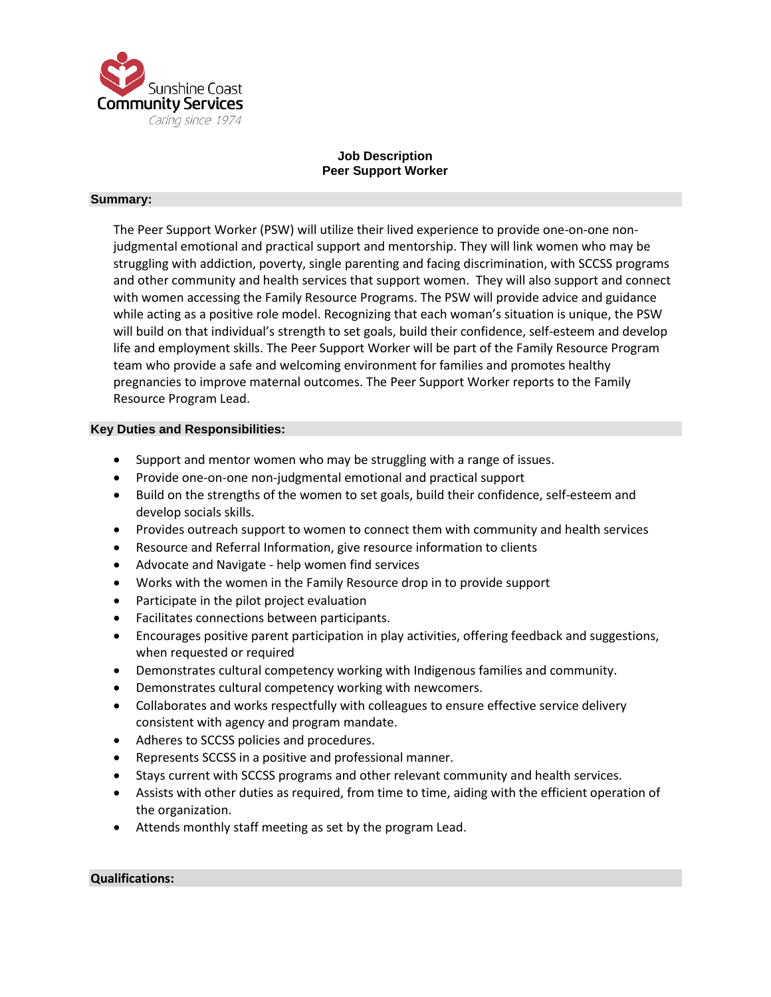

# **Job Description Peer Support Worker**

### **Summary:**

The Peer Support Worker (PSW) will utilize their lived experience to provide one-on-one nonjudgmental emotional and practical support and mentorship. They will link women who may be struggling with addiction, poverty, single parenting and facing discrimination, with SCCSS programs and other community and health services that support women. They will also support and connect with women accessing the Family Resource Programs. The PSW will provide advice and guidance while acting as a positive role model. Recognizing that each woman's situation is unique, the PSW will build on that individual's strength to set goals, build their confidence, self-esteem and develop life and employment skills. The Peer Support Worker will be part of the Family Resource Program team who provide a safe and welcoming environment for families and promotes healthy pregnancies to improve maternal outcomes. The Peer Support Worker reports to the Family Resource Program Lead.

## **Key Duties and Responsibilities:**

- Support and mentor women who may be struggling with a range of issues.
- Provide one-on-one non-judgmental emotional and practical support
- Build on the strengths of the women to set goals, build their confidence, self-esteem and develop socials skills.
- Provides outreach support to women to connect them with community and health services
- Resource and Referral Information, give resource information to clients
- Advocate and Navigate help women find services
- Works with the women in the Family Resource drop in to provide support
- Participate in the pilot project evaluation
- Facilitates connections between participants.
- Encourages positive parent participation in play activities, offering feedback and suggestions, when requested or required
- Demonstrates cultural competency working with Indigenous families and community.
- Demonstrates cultural competency working with newcomers.
- Collaborates and works respectfully with colleagues to ensure effective service delivery consistent with agency and program mandate.
- Adheres to SCCSS policies and procedures.
- Represents SCCSS in a positive and professional manner.
- Stays current with SCCSS programs and other relevant community and health services.
- Assists with other duties as required, from time to time, aiding with the efficient operation of the organization.
- Attends monthly staff meeting as set by the program Lead.

#### **Qualifications:**